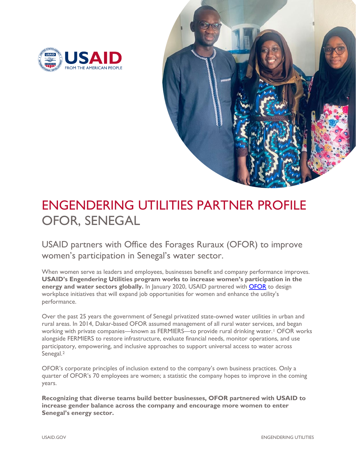



# ENGENDERING UTILITIES PARTNER PROFILE OFOR, SENEGAL

USAID partners with Office des Forages Ruraux (OFOR) to improve women's participation in Senegal's water sector.

When women serve as leaders and employees, businesses benefit and company performance improves. **USAID's Engendering Utilities program works to increase women's participation in the energy and water sectors globally.** In January 2020, USAID partnered with **OFOR** to design workplace initiatives that will expand job opportunities for women and enhance the utility's performance.

Over the past 25 years the government of Senegal privatized state-owned water utilities in urban and rural areas. In 2014, Dakar-based OFOR assumed management of all rural water services, and began working with private companies—known as FERMIERS—to provide rural drinking water.<sup>[1](#page-3-0)</sup> OFOR works alongside FERMIERS to restore infrastructure, evaluate financial needs, monitor operations, and use participatory, empowering, and inclusive approaches to support universal access to water across Senegal.[2](#page-3-1)

OFOR's corporate principles of inclusion extend to the company's own business practices. Only a quarter of OFOR's 70 employees are women; a statistic the company hopes to improve in the coming years.

**Recognizing that diverse teams build better businesses, OFOR partnered with USAID to increase gender balance across the company and encourage more women to enter Senegal's energy sector.**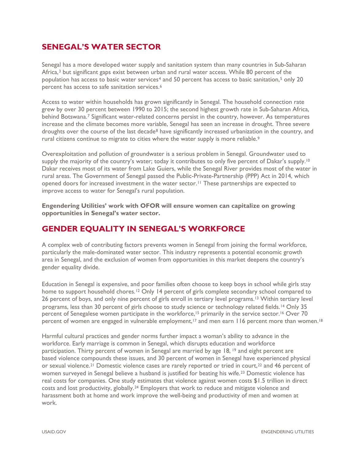### **SENEGAL'S WATER SECTOR**

Senegal has a more developed water supply and sanitation system than many countries in Sub-Saharan Africa,[3](#page-3-2) but significant gaps exist between urban and rural water access. While 80 percent of the population has access to basic water services[4](#page-3-3) and 50 percent has access to basic sanitation,[5](#page-3-4) only 20 percent has access to safe sanitation services.[6](#page-3-5)

Access to water within households has grown significantly in Senegal. The household connection rate grew by over 30 percent between 1990 to 2015; the second highest growth rate in Sub-Saharan Africa, behind Botswana.[7](#page-3-6) Significant water-related concerns persist in the country, however. As temperatures increase and the climate becomes more variable, Senegal has seen an increase in drought. Three severe droughts over the course of the last decade<sup>[8](#page-3-7)</sup> have significantly increased urbanization in the country, and rural citizens continue to migrate to cities where the water supply is more reliable.<sup>[9](#page-3-8)</sup>

Overexploitation and pollution of groundwater is a serious problem in Senegal. Groundwater used to supply the majority of the country's water; today it contributes to only five percent of Dakar's supply.<sup>[10](#page-3-9)</sup> Dakar receives most of its water from Lake Guiers, while the Senegal River provides most of the water in rural areas. The Government of Senegal passed the Public-Private-Partnership (PPP) Act in 2014, which opened doors for increased investment in the water sector.[11](#page-3-10) These partnerships are expected to improve access to water for Senegal's rural population.

**Engendering Utilities' work with OFOR will ensure women can capitalize on growing opportunities in Senegal's water sector.**

#### **GENDER EQUALITY IN SENEGAL'S WORKFORCE**

A complex web of contributing factors prevents women in Senegal from joining the formal workforce, particularly the male-dominated water sector. This industry represents a potential economic growth area in Senegal, and the exclusion of women from opportunities in this market deepens the country's gender equality divide.

Education in Senegal is expensive, and poor families often choose to keep boys in school while girls stay home to support household chores.<sup>[12](#page-3-11)</sup> Only 14 percent of girls complete secondary school compared to 26 percent of boys, and only nine percent of girls enroll in tertiary level programs.[13](#page-3-12) Within tertiary level programs, less than 30 percent of girls choose to study science or technology related fields.<sup>[14](#page-3-13)</sup> Only 35 percent of Senegalese women participate in the workforce,<sup>[15](#page-3-14)</sup> primarily in the service sector.<sup>[16](#page-3-15)</sup> Over 70 percent of women are engaged in vulnerable employment,[17](#page-3-16) and men earn 116 percent more than women.[18](#page-3-17)

Harmful cultural practices and gender norms further impact a woman's ability to advance in the workforce. Early marriage is common in Senegal, which disrupts education and workforce participation. Thirty percent of women in Senegal are married by age 18, <sup>[19](#page-3-18)</sup> and eight percent are based violence co[mp](#page-3-19)ounds these issues, and 30 percent of women in Senegal have experienced physical or sexual violence.<sup>[21](#page-3-20)</sup> Domestic violence cases are rarely reported or tried in court,<sup>[22](#page-3-21)</sup> and 46 percent of women surveyed in Senegal believe a husband is justified for beating his wife.[23](#page-3-22) Domestic violence has real costs for companies. One study estimates that violence against women costs \$1.5 trillion in direct costs and lost productivity, globally.[24](#page-3-23) Employers that work to reduce and mitigate violence and harassment both at home and work improve the well-being and productivity of men and women at work.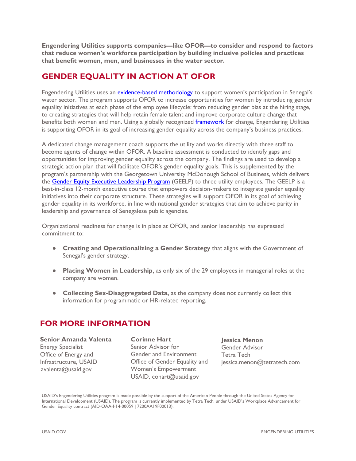**Engendering Utilities supports companies—like OFOR—to consider and respond to factors that reduce women's workforce participation by building inclusive policies and practices that benefit women, men, and businesses in the water sector.** 

## **GENDER EQUALITY IN ACTION AT OFOR**

Engendering Utilities uses an *evidence-based methodology* to support women's participation in Senegal's water sector. The program supports OFOR to increase opportunities for women by introducing gender equality initiatives at each phase of the employee lifecycle: from reducing gender bias at the hiring stage, to creating strategies that will help retain female talent and improve corporate culture change that benefits both women and men. Using a globally recognized [framework](https://www.usaid.gov/energy/engendering-utilities/gender-equality-best-practices-framework) for change, Engendering Utilities is supporting OFOR in its goal of increasing gender equality across the company's business practices.

A dedicated change management coach supports the utility and works directly with three staff to become agents of change within OFOR. A baseline assessment is conducted to identify gaps and opportunities for improving gender equality across the company. The findings are used to develop a strategic action plan that will facilitate OFOR's gender equality goals. This is supplemented by the program's partnership with the Georgetown University McDonough School of Business, which delivers the [Gender Equity Executive Leadership Program](https://www.usaid.gov/energy/engendering-utilities/leadership-program) (GEELP) to three utility employees. The GEELP is a best-in-class 12-month executive course that empowers decision-makers to integrate gender equality initiatives into their corporate structure. These strategies will support OFOR in its goal of achieving gender equality in its workforce, in line with national gender strategies that aim to achieve parity in leadership and governance of Senegalese public agencies.

Organizational readiness for change is in place at OFOR, and senior leadership has expressed commitment to:

- **Creating and Operationalizing a Gender Strategy** that aligns with the Government of Senegal's gender strategy.
- **Placing Women in Leadership,** as only six of the 29 employees in managerial roles at the company are women.
- **Collecting Sex-Disaggregated Data, as the company does not currently collect this** information for programmatic or HR-related reporting.

#### **FOR MORE INFORMATION**

**Senior Amanda Valenta** Energy Specialist Office of Energy and Infrastructure, USAID [avalenta@usaid.gov](mailto:avalenta@usaid.gov) 

**Corinne Hart** Senior Advisor for Gender and Environment Office of Gender Equality and Women's Empowerment USAID, [cohart@us](mailto:cohart@usaid.gov)aid.gov

**Jessica Menon** Gender Advisor Tetra Tech jessica.menon@tetratech.com

USAID's Engendering Utilities program is made possible by the support of the American People through the United States Agency for International Development (USAID). The program is currently implemented by Tetra Tech, under USAID's Workplace Advancement for Gender Equality contract (AID-OAA-I-14-00059 | 7200AA19F00013).